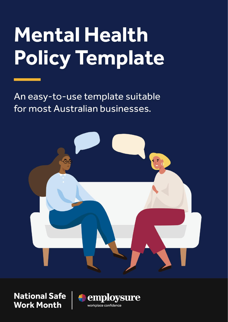# **Mental Health Policy Template**

An easy-to-use template suitable for most Australian businesses.



**National Safe Work Month** 

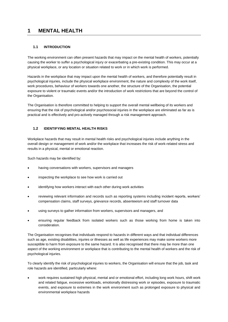# **1 MENTAL HEALTH**

# **1.1 INTRODUCTION**

The working environment can often present hazards that may impact on the mental health of workers, potentially causing the worker to suffer a psychological injury or exacerbating a pre-existing condition. This may occur at a physical workplace, or any location or situation related to work or in which work is performed.

Hazards in the workplace that may impact upon the mental health of workers, and therefore potentially result in psychological injuries, include the physical workplace environment, the nature and complexity of the work itself, work procedures, behaviour of workers towards one another, the structure of the Organisation, the potential exposure to violent or traumatic events and/or the introduction of work restrictions that are beyond the control of the Organisation.

The Organisation is therefore committed to helping to support the overall mental wellbeing of its workers and ensuring that the risk of psychological and/or psychosocial injuries in the workplace are eliminated as far as is practical and is effectively and pro-actively managed through a risk management approach.

## **1.2 IDENTIFYING MENTAL HEALTH RISKS**

Workplace hazards that may result in mental health risks and psychological injuries include anything in the overall design or management of work and/or the workplace that increases the risk of work-related stress and results in a physical, mental or emotional reaction.

Such hazards may be identified by:

- having conversations with workers, supervisors and managers
- inspecting the workplace to see how work is carried out
- identifying how workers interact with each other during work activities
- reviewing relevant information and records such as reporting systems including incident reports, workers' compensation claims, staff surveys, grievance records, absenteeism and staff turnover data
- using surveys to gather information from workers, supervisors and managers, and
- ensuring regular feedback from isolated workers such as those working from home is taken into consideration.

The Organisation recognises that individuals respond to hazards in different ways and that individual differences such as age, existing disabilities, injuries or illnesses as well as life experiences may make some workers more susceptible to harm from exposure to the same hazard. It is also recognised that there may be more than one aspect of the working environment or workplace that is contributing to the mental health of workers and the risk of psychological injuries.

To clearly identify the risk of psychological injuries to workers, the Organisation will ensure that the job, task and role hazards are identified, particularly where:

• work requires sustained high physical, mental and or emotional effort, including long work hours, shift work and related fatigue, excessive workloads, emotionally distressing work or episodes, exposure to traumatic events, and exposure to extremes in the work environment such as prolonged exposure to physical and environmental workplace hazards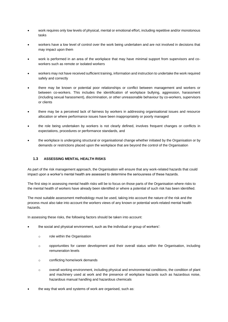- work requires only low levels of physical, mental or emotional effort, including repetitive and/or monotonous tasks
- workers have a low level of control over the work being undertaken and are not involved in decisions that may impact upon them
- work is performed in an area of the workplace that may have minimal support from supervisors and coworkers such as remote or isolated workers
- workers may not have received sufficient training, information and instruction to undertake the work required safely and correctly
- there may be known or potential poor relationships or conflict between management and workers or between co-workers. This includes the identification of workplace bullying, aggression, harassment (including sexual harassment), discrimination, or other unreasonable behaviour by co-workers, supervisors or clients
- there may be a perceived lack of fairness by workers in addressing organisational issues and resource allocation or where performance issues have been inappropriately or poorly managed
- the role being undertaken by workers is not clearly defined, involves frequent changes or conflicts in expectations, procedures or performance standards, and
- the workplace is undergoing structural or organisational change whether initiated by the Organisation or by demands or restrictions placed upon the workplace that are beyond the control of the Organisation

#### **1.3 ASSESSING MENTAL HEALTH RISKS**

As part of the risk management approach, the Organisation will ensure that any work-related hazards that could impact upon a worker's mental health are assessed to determine the seriousness of these hazards.

The first step in assessing mental health risks will be to focus on those parts of the Organisation where risks to the mental health of workers have already been identified or where a potential of such risk has been identified.

The most suitable assessment methodology must be used, taking into account the nature of the risk and the process must also take into account the workers views of any known or potential work-related mental health hazards.

In assessing these risks, the following factors should be taken into account:

- the social and physical environment, such as the individual or group of workers':
	- o role within the Organisation
	- o opportunities for career development and their overall status within the Organisation, including remuneration levels
	- o conflicting home/work demands
	- o overall working environment, including physical and environmental conditions, the condition of plant and machinery used at work and the presence of workplace hazards such as hazardous noise, hazardous manual handling and hazardous chemicals
- the way that work and systems of work are organised, such as: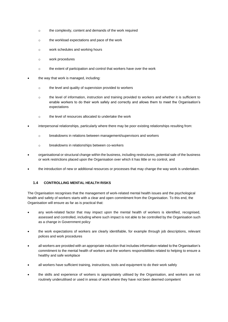- o the complexity, content and demands of the work required
- o the workload expectations and pace of the work
- o work schedules and working hours
- o work procedures
- o the extent of participation and control that workers have over the work
- the way that work is managed, including:
	- o the level and quality of supervision provided to workers
	- o the level of information, instruction and training provided to workers and whether it is sufficient to enable workers to do their work safely and correctly and allows them to meet the Organisation's expectations
	- o the level of resources allocated to undertake the work
- interpersonal relationships, particularly where there may be poor existing relationships resulting from:
	- o breakdowns in relations between management/supervisors and workers
	- o breakdowns in relationships between co-workers
- organisational or structural change within the business, including restructures, potential sale of the business or work restrictions placed upon the Organisation over which it has little or no control, and
- the introduction of new or additional resources or processes that may change the way work is undertaken.

#### **1.4 CONTROLLING MENTAL HEALTH RISKS**

The Organisation recognises that the management of work-related mental health issues and the psychological health and safety of workers starts with a clear and open commitment from the Organisation. To this end, the Organisation will ensure as far as is practical that:

- any work-related factor that may impact upon the mental health of workers is identified, recognised, assessed and controlled, including where such impact is not able to be controlled by the Organisation such as a change in Government policy
- the work expectations of workers are clearly identifiable, for example through job descriptions, relevant polices and work procedures
- all workers are provided with an appropriate induction that includes information related to the Organisation's commitment to the mental health of workers and the workers responsibilities related to helping to ensure a healthy and safe workplace
- all workers have sufficient training, instructions, tools and equipment to do their work safely
- the skills and experience of workers is appropriately utilised by the Organisation, and workers are not routinely underutilised or used in areas of work where they have not been deemed competent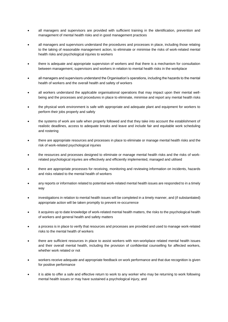- all managers and supervisors are provided with sufficient training in the identification, prevention and management of mental health risks and in good management practices
- all managers and supervisors understand the procedures and processes in place, including those relating to the taking of reasonable management action, to eliminate or minimise the risks of work-related mental health risks and psychological injuries to workers
- there is adequate and appropriate supervision of workers and that there is a mechanism for consultation between management, supervisors and workers in relation to mental health risks in the workplace
- all managers and supervisors understand the Organisation's operations, including the hazards to the mental health of workers and the overall health and safety of workers
- all workers understand the applicable organisational operations that may impact upon their mental wellbeing and the processes and procedures in place to eliminate, minimise and report any mental health risks
- the physical work environment is safe with appropriate and adequate plant and equipment for workers to perform their jobs properly and safely
- the systems of work are safe when properly followed and that they take into account the establishment of realistic deadlines, access to adequate breaks and leave and include fair and equitable work scheduling and rostering
- there are appropriate resources and processes in place to eliminate or manage mental health risks and the risk of work-related psychological injuries
- the resources and processes designed to eliminate or manage mental health risks and the risks of workrelated psychological injuries are effectively and efficiently implemented, managed and utilised
- there are appropriate processes for receiving, monitoring and reviewing information on incidents, hazards and risks related to the mental health of workers
- any reports or information related to potential work-related mental health issues are responded to in a timely way
- investigations in relation to mental health issues will be completed in a timely manner, and (if substantiated) appropriate action will be taken promptly to prevent re-occurrence
- it acquires up to date knowledge of work-related mental health matters, the risks to the psychological health of workers and general health and safety matters
- a process is in place to verify that resources and processes are provided and used to manage work-related risks to the mental health of workers
- there are sufficient resources in place to assist workers with non-workplace related mental health issues and their overall mental health, including the provision of confidential counselling for affected workers, whether work related or not
- workers receive adequate and appropriate feedback on work performance and that due recognition is given for positive performance
- it is able to offer a safe and effective return to work to any worker who may be returning to work following mental health issues or may have sustained a psychological injury, and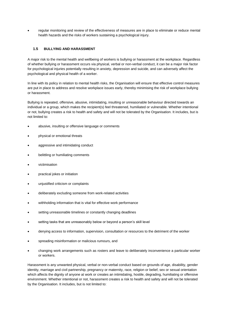• regular monitoring and review of the effectiveness of measures are in place to eliminate or reduce mental health hazards and the risks of workers sustaining a psychological injury.

## **1.5 BULLYING AND HARASSMENT**

A major risk to the mental health and wellbeing of workers is bullying or harassment at the workplace. Regardless of whether bullying or harassment occurs via physical, verbal or non-verbal conduct, it can be a major risk factor for psychological injuries potentially resulting in anxiety, depression and suicide, and can adversely affect the psychological and physical health of a worker.

In line with its policy in relation to mental health risks, the Organisation will ensure that effective control measures are put in place to address and resolve workplace issues early, thereby minimising the risk of workplace bullying or harassment.

Bullying is repeated, offensive, abusive, intimidating, insulting or unreasonable behaviour directed towards an individual or a group, which makes the recipient(s) feel threatened, humiliated or vulnerable. Whether intentional or not, bullying creates a risk to health and safety and will not be tolerated by the Organisation. It includes, but is not limited to:

- abusive, insulting or offensive language or comments
- physical or emotional threats
- aggressive and intimidating conduct
- belittling or humiliating comments
- victimisation
- practical jokes or initiation
- unjustified criticism or complaints
- deliberately excluding someone from work-related activities
- withholding information that is vital for effective work performance
- setting unreasonable timelines or constantly changing deadlines
- setting tasks that are unreasonably below or beyond a person's skill level
- denying access to information, supervision, consultation or resources to the detriment of the worker
- spreading misinformation or malicious rumours, and
- changing work arrangements such as rosters and leave to deliberately inconvenience a particular worker or workers.

Harassment is any unwanted physical, verbal or non-verbal conduct based on grounds of age, disability, gender identity, marriage and civil partnership, pregnancy or maternity, race, religion or belief, sex or sexual orientation which affects the dignity of anyone at work or creates an intimidating, hostile, degrading, humiliating or offensive environment. Whether intentional or not, harassment creates a risk to health and safety and will not be tolerated by the Organisation. It includes, but is not limited to: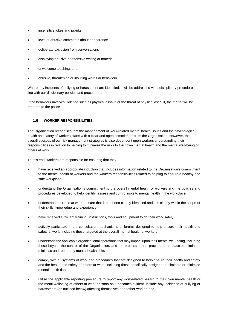- insensitive jokes and pranks
- lewd or abusive comments about appearance
- deliberate exclusion from conversations
- displaying abusive or offensive writing or material
- unwelcome touching, and
- abusive, threatening or insulting words or behaviour.

Where any incidents of bullying or harassment are identified, it will be addressed via a disciplinary procedure in line with our disciplinary policies and procedures.

If the behaviour involves violence such as physical assault or the threat of physical assault, the matter will be reported to the police.

#### **1.6 WORKER RESPONSIBILITIES**

The Organisation recognises that the management of work-related mental health issues and the psychological health and safety of workers starts with a clear and open commitment from the Organisation. However, the overall success of our risk management strategies is also dependent upon workers understanding their responsibilities in relation to helping to minimise the risks to their own mental health and the mental well-being of others at work.

To this end, workers are responsible for ensuring that they:

- have received an appropriate induction that includes information related to the Organisation's commitment to the mental health of workers and the workers responsibilities related to helping to ensure a healthy and safe workplace
- understand the Organisation's commitment to the overall mental health of workers and the policies and procedures developed to help identify, assess and control risks to mental health in the workplace
- understand their role at work, ensure that it has been clearly identified and it is clearly within the scope of their skills, knowledge and experience
- have received sufficient training, instructions, tools and equipment to do their work safely
- actively participate in the consultation mechanisms or forums designed to help ensure their health and safety at work, including those targeted at the overall mental health of workers
- understand the applicable organisational operations that may impact upon their mental well-being, including those beyond the control of the Organisation, and the processes and procedures in place to eliminate, minimise and report any mental health risks
- comply with all systems of work and procedures that are designed to help ensure their health and safety and the health and safety of others at work, including those specifically designed to eliminate or minimise mental health risks
- utilise the applicable reporting procedure to report any work-related hazard to their own mental health or the metal wellbeing of others at work as soon as it becomes evident, include any incidence of bullying or harassment (as outlined below) affecting themselves or another worker, and